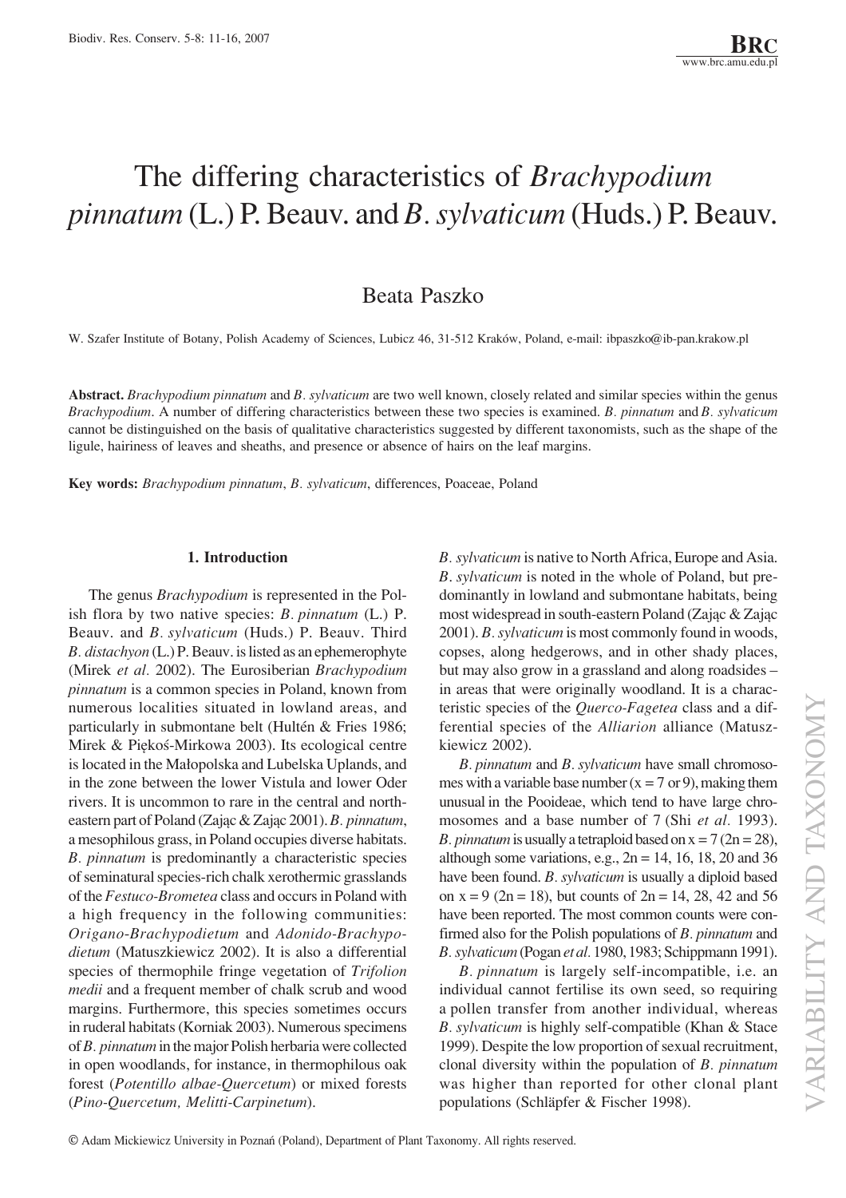# The differing characteristics of *Brachypodium pinnatum* (L.) P. Beauv. and *B. sylvaticum* (Huds.) P. Beauv.

# Beata Paszko

W. Szafer Institute of Botany, Polish Academy of Sciences, Lubicz 46, 31-512 Kraków, Poland, e-mail: ibpaszko@ib-pan.krakow.pl

**Abstract.** *Brachypodium pinnatum* and *B. sylvaticum* are two well known, closely related and similar species within the genus *Brachypodium*. A number of differing characteristics between these two species is examined. *B. pinnatum* and *B. sylvaticum* cannot be distinguished on the basis of qualitative characteristics suggested by different taxonomists, such as the shape of the ligule, hairiness of leaves and sheaths, and presence or absence of hairs on the leaf margins.

**Key words:** *Brachypodium pinnatum*, *B. sylvaticum*, differences, Poaceae, Poland

#### **1. Introduction**

The genus *Brachypodium* is represented in the Polish flora by two native species: *B. pinnatum* (L.) P. Beauv. and *B. sylvaticum* (Huds.) P. Beauv. Third *B. distachyon* (L.) P. Beauv. is listed as an ephemerophyte (Mirek *et al.* 2002). The Eurosiberian *Brachypodium pinnatum* is a common species in Poland, known from numerous localities situated in lowland areas, and particularly in submontane belt (Hultén  $&$  Fries 1986; Mirek & Piękoś-Mirkowa 2003). Its ecological centre is located in the Małopolska and Lubelska Uplands, and in the zone between the lower Vistula and lower Oder rivers. It is uncommon to rare in the central and northeastern part of Poland (Zając & Zając 2001). *B. pinnatum*, a mesophilous grass, in Poland occupies diverse habitats. *B. pinnatum* is predominantly a characteristic species of seminatural species-rich chalk xerothermic grasslands of the *Festuco-Brometea* class and occurs in Poland with a high frequency in the following communities: *Origano*-*Brachypodietum* and *Adonido-Brachypodietum* (Matuszkiewicz 2002). It is also a differential species of thermophile fringe vegetation of *Trifolion medii* and a frequent member of chalk scrub and wood margins. Furthermore, this species sometimes occurs in ruderal habitats (Korniak 2003). Numerous specimens of *B.* pinnatum in the major Polish herbaria were collected in open woodlands, for instance, in thermophilous oak forest (*Potentillo albae-Quercetum*) or mixed forests (*Pino-Quercetum, Melitti-Carpinetum*).

*B. sylvaticum* is native to North Africa, Europe and Asia. *B*.*†sylvaticum* is noted in the whole of Poland, but predominantly in lowland and submontane habitats, being most widespread in south-eastern Poland (Zając & Zając 2001). *B. sylvaticum* is most commonly found in woods, copses, along hedgerows, and in other shady places, but may also grow in a grassland and along roadsides – in areas that were originally woodland. It is a characteristic species of the *Querco-Fagetea* class and a differential species of the *Alliarion* alliance (Matuszkiewicz 2002).

*B.†pinnatum* and *B.†sylvaticum* have small chromosomes with a variable base number ( $x=7$  or 9), making them unusual in the Pooideae, which tend to have large chromosomes and a base number of 7†(Shi *et al.* 1993). *B. pinnatum* is usually a tetraploid based on  $x = 7 (2n = 28)$ , although some variations, e.g.,  $2n = 14$ , 16, 18, 20 and 36 have been found. *B. sylvaticum* is usually a diploid based on  $x=9$  (2n = 18), but counts of  $2n=14$ , 28, 42 and 56 have been reported. The most common counts were confirmed also for the Polish populations of *B. pinnatum* and *B.†sylvaticum* (Pogan *et al.* 1980, 1983; Schippmann 1991).

*B.†pinnatum* is largely self-incompatible, i.e. an individual cannot fertilise its own seed, so requiring a pollen transfer from another individual, whereas *B.* sylvaticum is highly self-compatible (Khan & Stace 1999). Despite the low proportion of sexual recruitment, clonal diversity within the population of *B. pinnatum* was higher than reported for other clonal plant populations (Schläpfer & Fischer 1998).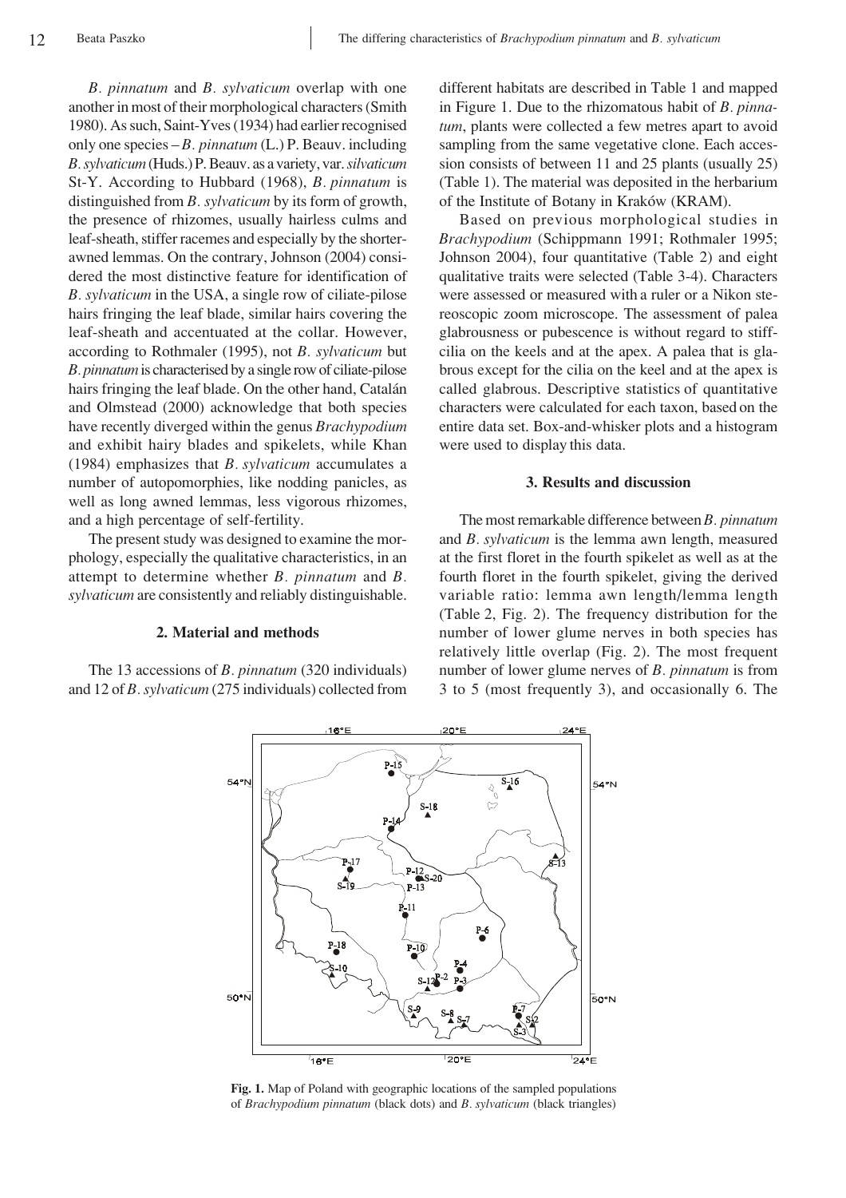*B. pinnatum* and *B. sylvaticum* overlap with one another in most of their morphological characters (Smith 1980). As such, Saint-Yves (1934) had earlier recognised only one species – *B. pinnatum* (L.) P. Beauv. including *B. sylvaticum* (Huds.) P. Beauv. as a variety, var. *silvaticum* St-Y. According to Hubbard (1968), *B. pinnatum* is distinguished from *B. sylvaticum* by its form of growth, the presence of rhizomes, usually hairless culms and leaf-sheath, stiffer racemes and especially by the shorterawned lemmas. On the contrary, Johnson (2004) considered the most distinctive feature for identification of *B. sylvaticum* in the USA, a single row of ciliate-pilose hairs fringing the leaf blade, similar hairs covering the leaf-sheath and accentuated at the collar. However, according to Rothmaler (1995), not *B. sylvaticum* but *B. pinnatum* is characterised by a single row of ciliate-pilose hairs fringing the leaf blade. On the other hand, Catalán and Olmstead (2000) acknowledge that both species have recently diverged within the genus *Brachypodium* and exhibit hairy blades and spikelets, while Khan (1984) emphasizes that *B*. *sylvaticum* accumulates a number of autopomorphies, like nodding panicles, as well as long awned lemmas, less vigorous rhizomes, and a high percentage of self-fertility.

The present study was designed to examine the morphology, especially the qualitative characteristics, in an attempt to determine whether *B. pinnatum* and *B. sylvaticum* are consistently and reliably distinguishable.

### **2. Material and methods**

The 13 accessions of *B. pinnatum* (320 individuals) and 12 of *B. sylvaticum* (275 individuals) collected from

different habitats are described in Table 1 and mapped in Figure 1. Due to the rhizomatous habit of *B. pinnatum*, plants were collected a few metres apart to avoid sampling from the same vegetative clone. Each accession consists of between 11 and 25 plants (usually 25) (Table 1). The material was deposited in the herbarium of the Institute of Botany in Kraków (KRAM).

Based on previous morphological studies in *Brachypodium* (Schippmann 1991; Rothmaler 1995; Johnson 2004), four quantitative (Table 2) and eight qualitative traits were selected (Table 3-4). Characters were assessed or measured with a ruler or a Nikon stereoscopic zoom microscope. The assessment of palea glabrousness or pubescence is without regard to stiffcilia on the keels and at the apex. A palea that is glabrous except for the cilia on the keel and at the apex is called glabrous. Descriptive statistics of quantitative characters were calculated for each taxon, based on the entire data set. Box-and-whisker plots and a histogram were used to display this data.

#### **3. Results and discussion**

The most remarkable difference between *B*. pinnatum and *B. sylvaticum* is the lemma awn length, measured at the first floret in the fourth spikelet as well as at the fourth floret in the fourth spikelet, giving the derived variable ratio: lemma awn length/lemma length (Table 2, Fig. 2). The frequency distribution for the number of lower glume nerves in both species has relatively little overlap (Fig. 2). The most frequent number of lower glume nerves of *B. pinnatum* is from 3 to 5 (most frequently 3), and occasionally 6. The



**Fig. 1.** Map of Poland with geographic locations of the sampled populations of *Brachypodium pinnatum* (black dots) and *B.†sylvaticum* (black triangles)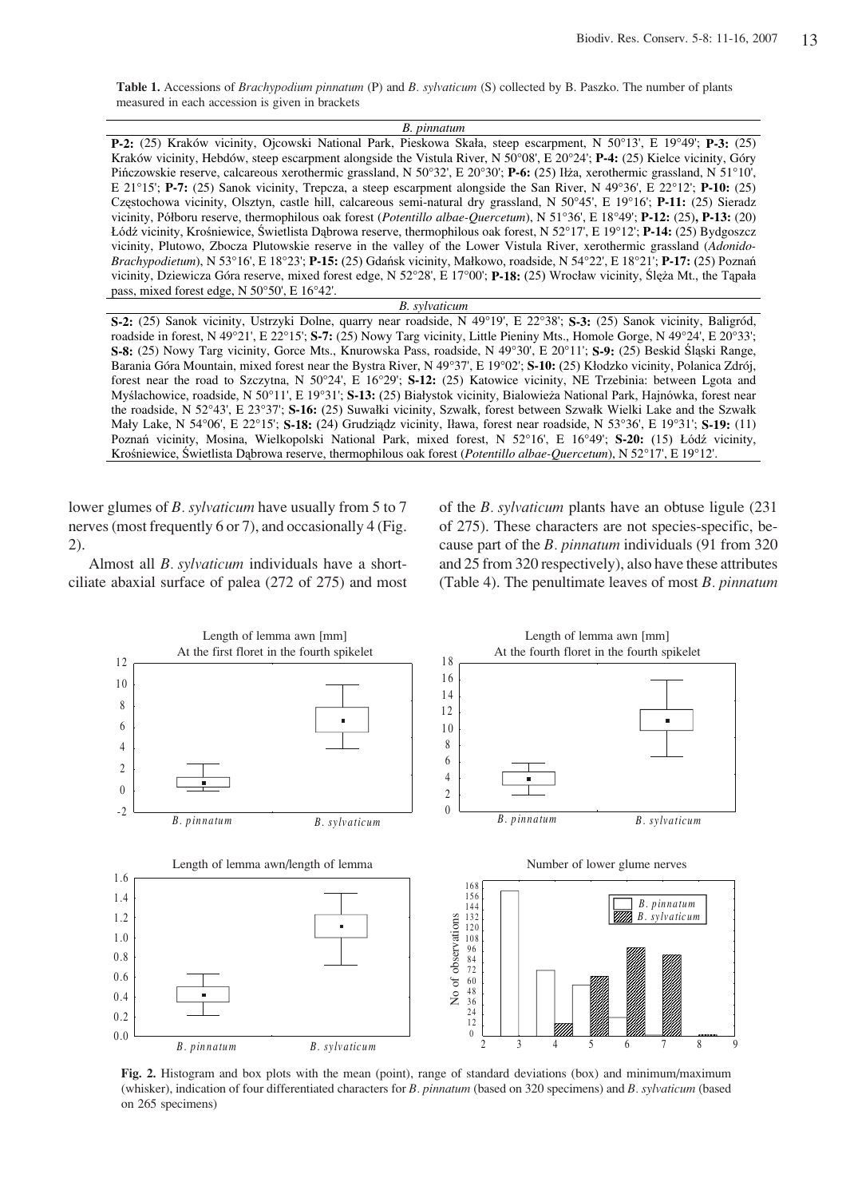**Table 1.** Accessions of *Brachypodium pinnatum* (P) and *B. sylvaticum* (S) collected by B. Paszko. The number of plants measured in each accession is given in brackets

| B. pinnatum                                                                                                                        |
|------------------------------------------------------------------------------------------------------------------------------------|
| <b>P-2:</b> (25) Kraków vicinity, Ojcowski National Park, Pieskowa Skała, steep escarpment, N 50°13', E 19°49'; P-3: (25)          |
| Kraków vicinity, Hebdów, steep escarpment alongside the Vistula River, N 50°08', E 20°24'; P-4: (25) Kielce vicinity, Góry         |
| Pińczowskie reserve, calcareous xerothermic grassland, N 50°32', E 20°30'; P-6: (25) Iłża, xerothermic grassland, N 51°10',        |
| E 21°15'; P-7: (25) Sanok vicinity, Trepcza, a steep escarpment alongside the San River, N 49°36', E 22°12'; P-10: (25)            |
| Częstochowa vicinity, Olsztyn, castle hill, calcareous semi-natural dry grassland, N 50°45', E 19°16'; P-11: (25) Sieradz          |
| vicinity, Półboru reserve, thermophilous oak forest (Potentillo albae-Quercetum), N 51°36', E 18°49'; P-12: (25), P-13: (20)       |
| Łódź vicinity, Krośniewice, Świetlista Dąbrowa reserve, thermophilous oak forest, N 52°17', E 19°12'; P-14: (25) Bydgoszcz         |
| vicinity, Plutowo, Zbocza Plutowskie reserve in the valley of the Lower Vistula River, xerothermic grassland (Adonido-             |
| Brachypodietum), N 53°16', E 18°23'; P-15: (25) Gdańsk vicinity, Małkowo, roadside, N 54°22', E 18°21'; P-17: (25) Poznań          |
| vicinity, Dziewicza Góra reserve, mixed forest edge, N 52°28', E 17°00'; <b>P-18:</b> (25) Wrocław vicinity, Slęża Mt., the Tapała |
| pass, mixed forest edge, $N$ 50 $\degree$ 50', E 16 $\degree$ 42'.                                                                 |

*B. sylvaticum* **S-2:** (25) Sanok vicinity, Ustrzyki Dolne, quarry near roadside, N 49°19', E 22°38'; **S-3:** (25) Sanok vicinity, Baligród, roadside in forest, N 49°21', E 22°15'; **S-7:** (25) Nowy Targ vicinity, Little Pieniny Mts., Homole Gorge, N 49°24', E 20°33'; **S-8:** (25) Nowy Targ vicinity, Gorce Mts., Knurowska Pass, roadside, N 49°30', E 20°11'; **S-9:** (25) Beskid Sląski Range, Barania Góra Mountain, mixed forest near the Bystra River, N 49°37', E 19°02'; S-10: (25) Kłodzko vicinity, Polanica Zdrój, forest near the road to Szczytna, N 50°24', E 16°29'; **S-12:** (25) Katowice vicinity, NE Trzebinia: between Lgota and Myślachowice, roadside, N 50°11', E 19°31'; S-13: (25) Białystok vicinity, Bialowieża National Park, Hajnówka, forest near the roadside, N 52°43', E 23°37'; S-16: (25) Suwałki vicinity, Szwałk, forest between Szwałk Wielki Lake and the Szwałk Mały Lake, N 54°06', E 22°15'; S-18: (24) Grudziądz vicinity, Iława, forest near roadside, N 53°36', E 19°31'; S-19: (11) Poznań vicinity, Mosina, Wielkopolski National Park, mixed forest, N 52°16', E 16°49'; S-20: (15) Łódź vicinity, Krośniewice, Świetlista Dąbrowa reserve, thermophilous oak forest (Potentillo albae-Quercetum), N 52°17', E 19°12'.

lower glumes of *B. sylvaticum* have usually from 5 to 7 nerves (most frequently 6 or 7), and occasionally 4 (Fig. 2).

Almost all *B. sylvaticum* individuals have a shortciliate abaxial surface of palea (272 of 275) and most of the *B. sylvaticum* plants have an obtuse ligule (231) of 275). These characters are not species-specific, because part of the *B. pinnatum* individuals (91 from 320) and 25 from 320 respectively), also have these attributes (Table 4). The penultimate leaves of most *B.†pinnatum*



**Fig. 2.** Histogram and box plots with the mean (point), range of standard deviations (box) and minimum/maximum (whisker), indication of four differentiated characters for *B. pinnatum* (based on 320 specimens) and *B. sylvaticum* (based on 265 specimens)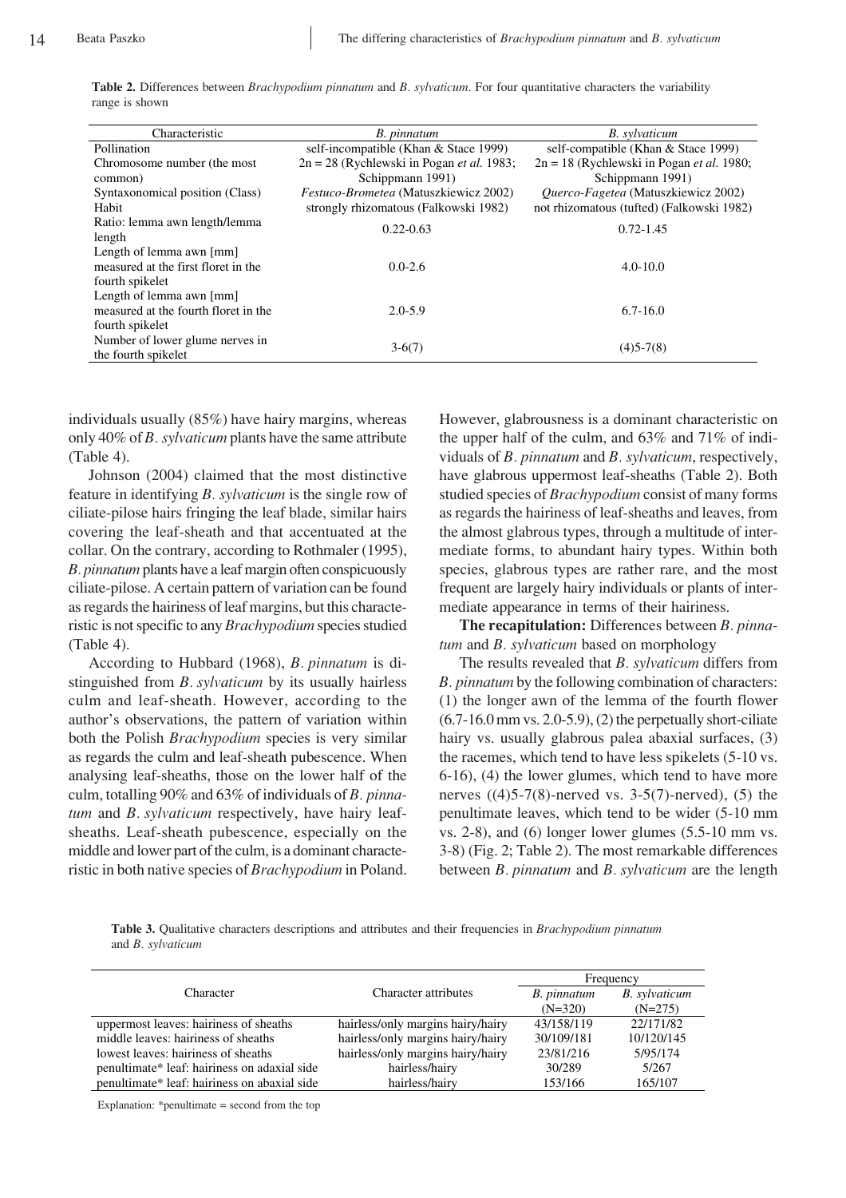| Characteristic                       | B. pinnatum                                        | <b>B.</b> sylvaticum                               |  |  |
|--------------------------------------|----------------------------------------------------|----------------------------------------------------|--|--|
| Pollination                          | self-incompatible (Khan & Stace 1999)              | self-compatible (Khan & Stace 1999)                |  |  |
| Chromosome number (the most          | $2n = 28$ (Rychlewski in Pogan <i>et al.</i> 1983; | $2n = 18$ (Rychlewski in Pogan <i>et al.</i> 1980; |  |  |
| common)                              | Schippmann 1991)                                   | Schippmann 1991)                                   |  |  |
| Syntaxonomical position (Class)      | <i>Festuco-Brometea</i> (Matuszkiewicz 2002)       | <i>Ouerco-Fagetea</i> (Matuszkiewicz 2002)         |  |  |
| Habit                                | strongly rhizomatous (Falkowski 1982)              | not rhizomatous (tufted) (Falkowski 1982)          |  |  |
| Ratio: lemma awn length/lemma        | $0.22 - 0.63$                                      | $0.72 - 1.45$                                      |  |  |
| length                               |                                                    |                                                    |  |  |
| Length of lemma awn [mm]             |                                                    |                                                    |  |  |
| measured at the first floret in the  | $0.0 - 2.6$                                        | $4.0 - 10.0$                                       |  |  |
| fourth spikelet                      |                                                    |                                                    |  |  |
| Length of lemma awn [mm]             |                                                    |                                                    |  |  |
| measured at the fourth floret in the | $2.0 - 5.9$                                        | $6.7 - 16.0$                                       |  |  |
| fourth spikelet                      |                                                    |                                                    |  |  |
| Number of lower glume nerves in      |                                                    |                                                    |  |  |
| the fourth spikelet                  | $3-6(7)$                                           | $(4)5 - 7(8)$                                      |  |  |

**Table 2.** Differences between *Brachypodium pinnatum* and *B. sylvaticum*. For four quantitative characters the variability range is shown

individuals usually (85%) have hairy margins, whereas only 40% of *B*. *sylvaticum* plants have the same attribute (Table 4).

Johnson (2004) claimed that the most distinctive feature in identifying *B*. *sylvaticum* is the single row of ciliate-pilose hairs fringing the leaf blade, similar hairs covering the leaf-sheath and that accentuated at the collar. On the contrary, according to Rothmaler (1995), *B. pinnatum* plants have a leaf margin often conspicuously ciliate-pilose. A certain pattern of variation can be found as regards the hairiness of leaf margins, but this characteristic is not specific to any *Brachypodium* species studied (Table 4).

According to Hubbard (1968), *B. pinnatum* is distinguished from *B. sylvaticum* by its usually hairless culm and leaf-sheath. However, according to the author's observations, the pattern of variation within both the Polish *Brachypodium* species is very similar as regards the culm and leaf-sheath pubescence. When analysing leaf-sheaths, those on the lower half of the culm, totalling 90% and 63% of individuals of *B. pinnatum* and *B. sylvaticum* respectively, have hairy leafsheaths. Leaf-sheath pubescence, especially on the middle and lower part of the culm, is a dominant characteristic in both native species of *Brachypodium* in Poland. However, glabrousness is a dominant characteristic on the upper half of the culm, and 63% and 71% of individuals of *B.†pinnatum* and *B.†sylvaticum*, respectively, have glabrous uppermost leaf-sheaths (Table 2). Both studied species of *Brachypodium* consist of many forms as regards the hairiness of leaf-sheaths and leaves, from the almost glabrous types, through a multitude of intermediate forms, to abundant hairy types. Within both species, glabrous types are rather rare, and the most frequent are largely hairy individuals or plants of intermediate appearance in terms of their hairiness.

**The recapitulation:** Differences between *B. pinnatum* and *B. sylvaticum* based on morphology

The results revealed that *B*. *sylvaticum* differs from *B. pinnatum* by the following combination of characters: (1) the longer awn of the lemma of the fourth flower  $(6.7-16.0 \text{ mm vs. } 2.0-5.9)$ ,  $(2)$  the perpetually short-ciliate hairy vs. usually glabrous palea abaxial surfaces, (3) the racemes, which tend to have less spikelets (5-10 vs. 6-16), (4) the lower glumes, which tend to have more nerves  $((4)5-7(8)$ -nerved vs. 3-5(7)-nerved), (5) the penultimate leaves, which tend to be wider (5-10 mm vs. 2-8), and (6) longer lower glumes (5.5-10 mm vs. 3-8) (Fig. 2; Table 2). The most remarkable differences between *B.* pinnatum and *B.* sylvaticum are the length

**Table 3.** Qualitative characters descriptions and attributes and their frequencies in *Brachypodium pinnatum* and *B. sylvaticum*

|                                              |                                   | Frequency   |                      |  |
|----------------------------------------------|-----------------------------------|-------------|----------------------|--|
| Character                                    | Character attributes              | B. pinnatum | <b>B.</b> sylvaticum |  |
|                                              |                                   | $(N=320)$   | $(N=275)$            |  |
| uppermost leaves: hairiness of sheaths       | hairless/only margins hairy/hairy | 43/158/119  | 22/171/82            |  |
| middle leaves: hairiness of sheaths          | hairless/only margins hairy/hairy | 30/109/181  | 10/120/145           |  |
| lowest leaves: hairiness of sheaths          | hairless/only margins hairy/hairy | 23/81/216   | 5/95/174             |  |
| penultimate* leaf: hairiness on adaxial side | hairless/hairy                    | 30/289      | 5/267                |  |
| penultimate* leaf: hairiness on abaxial side | hairless/hairy                    | 153/166     | 165/107              |  |

Explanation: \*penultimate = second from the top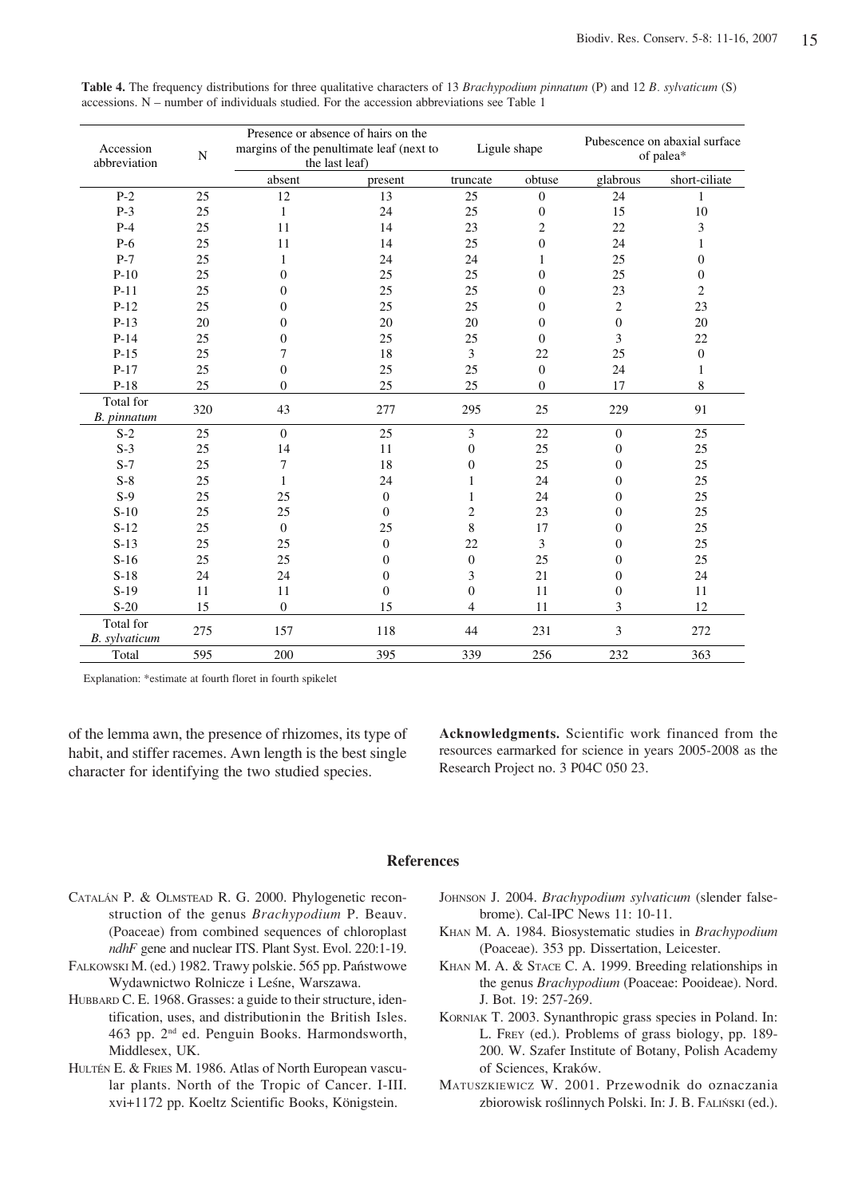| Accession<br>$\mathbf N$<br>abbreviation |     | Presence or absence of hairs on the<br>margins of the penultimate leaf (next to<br>the last leaf) |                  | Ligule shape     |                  | Pubescence on abaxial surface<br>of palea* |                  |
|------------------------------------------|-----|---------------------------------------------------------------------------------------------------|------------------|------------------|------------------|--------------------------------------------|------------------|
|                                          |     | absent                                                                                            | present          | truncate         | obtuse           | glabrous                                   | short-ciliate    |
| $P-2$                                    | 25  | 12                                                                                                | 13               | 25               | $\theta$         | 24                                         | 1                |
| $P-3$                                    | 25  | 1                                                                                                 | 24               | 25               | $\mathbf{0}$     | 15                                         | 10               |
| $P-4$                                    | 25  | 11                                                                                                | 14               | 23               | $\overline{c}$   | 22                                         | 3                |
| $P-6$                                    | 25  | 11                                                                                                | 14               | 25               | $\mathbf{0}$     | 24                                         | 1                |
| $P-7$                                    | 25  | 1                                                                                                 | 24               | 24               | 1                | 25                                         | $\mathbf{0}$     |
| $P-10$                                   | 25  | $\theta$                                                                                          | 25               | 25               | $\mathbf{0}$     | 25                                         | $\boldsymbol{0}$ |
| $P-11$                                   | 25  | $\Omega$                                                                                          | 25               | 25               | $\mathbf{0}$     | 23                                         | $\overline{c}$   |
| $P-12$                                   | 25  | $\Omega$                                                                                          | 25               | 25               | $\Omega$         | $\overline{c}$                             | 23               |
| $P-13$                                   | 20  | $\theta$                                                                                          | 20               | 20               | $\mathbf{0}$     | $\mathbf{0}$                               | 20               |
| $P-14$                                   | 25  | $\theta$                                                                                          | 25               | 25               | $\Omega$         | 3                                          | 22               |
| $P-15$                                   | 25  | 7                                                                                                 | 18               | 3                | 22               | 25                                         | $\mathbf{0}$     |
| $P-17$                                   | 25  | $\mathbf{0}$                                                                                      | 25               | 25               | $\boldsymbol{0}$ | 24                                         | 1                |
| $P-18$                                   | 25  | $\Omega$                                                                                          | 25               | 25               | $\mathbf{0}$     | 17                                         | 8                |
| Total for<br>B. pinnatum                 | 320 | 43                                                                                                | 277              | 295              | 25               | 229                                        | 91               |
| $S-2$                                    | 25  | $\Omega$                                                                                          | 25               | 3                | 22               | $\mathbf{0}$                               | 25               |
| $S-3$                                    | 25  | 14                                                                                                | 11               | $\boldsymbol{0}$ | 25               | $\boldsymbol{0}$                           | 25               |
| $S-7$                                    | 25  | $\tau$                                                                                            | 18               | $\boldsymbol{0}$ | 25               | $\mathbf{0}$                               | 25               |
| $S-8$                                    | 25  | 1                                                                                                 | 24               | 1                | 24               | $\mathbf{0}$                               | 25               |
| $S-9$                                    | 25  | 25                                                                                                | $\mathbf{0}$     | $\mathbf{1}$     | 24               | $\mathbf{0}$                               | 25               |
| $S-10$                                   | 25  | 25                                                                                                | $\Omega$         | $\sqrt{2}$       | 23               | $\Omega$                                   | 25               |
| $S-12$                                   | 25  | $\Omega$                                                                                          | 25               | 8                | 17               | $\theta$                                   | 25               |
| $S-13$                                   | 25  | 25                                                                                                | $\overline{0}$   | 22               | 3                | $\Omega$                                   | 25               |
| $S-16$                                   | 25  | 25                                                                                                | $\overline{0}$   | $\boldsymbol{0}$ | 25               | $\mathbf{0}$                               | 25               |
| $S-18$                                   | 24  | 24                                                                                                | $\boldsymbol{0}$ | 3                | 21               | $\boldsymbol{0}$                           | 24               |
| $S-19$                                   | 11  | 11                                                                                                | $\mathbf{0}$     | $\boldsymbol{0}$ | 11               | $\boldsymbol{0}$                           | 11               |
| $S-20$                                   | 15  | $\boldsymbol{0}$                                                                                  | 15               | 4                | 11               | 3                                          | 12               |
| Total for<br>B. sylvaticum               | 275 | 157                                                                                               | 118              | 44               | 231              | 3                                          | 272              |
| Total                                    | 595 | 200                                                                                               | 395              | 339              | 256              | 232                                        | 363              |

**Table 4.** The frequency distributions for three qualitative characters of 13 *Brachypodium pinnatum* (P) and 12 *B. sylvaticum* (S) accessions.  $N$  – number of individuals studied. For the accession abbreviations see Table 1

Explanation: \*estimate at fourth floret in fourth spikelet

of the lemma awn, the presence of rhizomes, its type of habit, and stiffer racemes. Awn length is the best single character for identifying the two studied species.

**Acknowledgments.** Scientific work financed from the resources earmarked for science in years 2005-2008 as the Research Project no. 3 P04C 050 23.

## **References**

- CATALÁN P. & OLMSTEAD R. G. 2000. Phylogenetic reconstruction of the genus *Brachypodium* P. Beauv. (Poaceae) from combined sequences of chloroplast *ndhF* gene and nuclear ITS. Plant Syst. Evol. 220:1-19.
- FALKOWSKI M. (ed.) 1982. Trawy polskie. 565 pp. Państwowe Wydawnictwo Rolnicze i Leśne, Warszawa.
- HUBBARD C. E. 1968. Grasses: a guide to their structure, identification, uses, and distributionin the British Isles. 463 pp. 2nd ed. Penguin Books. Harmondsworth, Middlesex, UK.
- HULTÉN E. & FRIES M. 1986. Atlas of North European vascular plants. North of the Tropic of Cancer. I-III. xvi+1172 pp. Koeltz Scientific Books, Königstein.
- JOHNSON J. 2004. *Brachypodium sylvaticum* (slender falsebrome). Cal-IPC News 11: 10-11.
- KHAN M. A. 1984. Biosystematic studies in *Brachypodium* (Poaceae). 353 pp. Dissertation, Leicester.
- KHAN M. A. & STACE C. A. 1999. Breeding relationships in the genus *Brachypodium* (Poaceae: Pooideae). Nord. J. Bot. 19: 257-269.
- KORNIAK T. 2003. Synanthropic grass species in Poland. In: L. FREY (ed.). Problems of grass biology, pp. 189- 200. W. Szafer Institute of Botany, Polish Academy of Sciences, Kraków.
- MATUSZKIEWICZ W. 2001. Przewodnik do oznaczania zbiorowisk roślinnych Polski. In: J. B. FALIŃSKI (ed.).